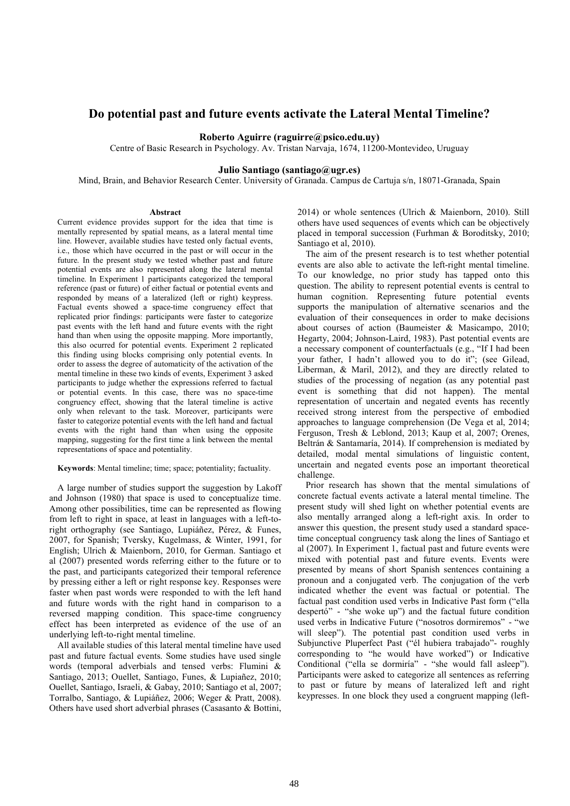# Do potential past and future events activate the Lateral Mental Timeline?

#### Roberto Aguirre (raguirre@psico.edu.uy)

Centre of Basic Research in Psychology. Av. Tristan Narvaja, 1674, 11200-Montevideo, Uruguay

### Julio Santiago (santiago@ugr.es)

Mind, Brain, and Behavior Research Center. University of Granada. Campus de Cartuja s/n, 18071-Granada, Spain

#### Abstract

Current evidence provides support for the idea that time is mentally represented by spatial means, as a lateral mental time line. However, available studies have tested only factual events, i.e., those which have occurred in the past or will occur in the future. In the present study we tested whether past and future potential events are also represented along the lateral mental timeline. In Experiment 1 participants categorized the temporal reference (past or future) of either factual or potential events and responded by means of a lateralized (left or right) keypress. Factual events showed a space-time congruency effect that replicated prior findings: participants were faster to categorize past events with the left hand and future events with the right hand than when using the opposite mapping. More importantly, this also ocurred for potential events. Experiment 2 replicated this finding using blocks comprising only potential events. In order to assess the degree of automaticity of the activation of the mental timeline in these two kinds of events, Experiment 3 asked participants to judge whether the expressions referred to factual or potential events. In this case, there was no space-time congruency effect, showing that the lateral timeline is active only when relevant to the task. Moreover, participants were faster to categorize potential events with the left hand and factual events with the right hand than when using the opposite mapping, suggesting for the first time a link between the mental representations of space and potentiality.

#### Keywords: Mental timeline; time; space; potentiality; factuality.

A large number of studies support the suggestion by Lakoff and Johnson (1980) that space is used to conceptualize time. Among other possibilities, time can be represented as flowing from left to right in space, at least in languages with a left-toright orthography (see Santiago, Lupiáñez, Pérez, & Funes, 2007, for Spanish; Tversky, Kugelmass, & Winter, 1991, for English; Ulrich & Maienborn, 2010, for German. Santiago et al (2007) presented words referring either to the future or to the past, and participants categorized their temporal reference by pressing either a left or right response key. Responses were faster when past words were responded to with the left hand and future words with the right hand in comparison to a reversed mapping condition. This space-time congruency effect has been interpreted as evidence of the use of an underlying left-to-right mental timeline.

All available studies of this lateral mental timeline have used past and future factual events. Some studies have used single words (temporal adverbials and tensed verbs: Flumini & Santiago, 2013; Ouellet, Santiago, Funes, & Lupiañez, 2010; Ouellet, Santiago, Israeli, & Gabay, 2010; Santiago et al, 2007; Torralbo, Santiago, & Lupiáñez, 2006; Weger & Pratt, 2008). Others have used short adverbial phrases (Casasanto & Bottini, 2014) or whole sentences (Ulrich & Maienborn, 2010). Still others have used sequences of events which can be objectively placed in temporal succession (Furhman & Boroditsky, 2010; Santiago et al, 2010).

The aim of the present research is to test whether potential events are also able to activate the left-right mental timeline. To our knowledge, no prior study has tapped onto this question. The ability to represent potential events is central to human cognition. Representing future potential events supports the manipulation of alternative scenarios and the evaluation of their consequences in order to make decisions about courses of action (Baumeister & Masicampo, 2010; Hegarty, 2004; Johnson-Laird, 1983). Past potential events are a necessary component of counterfactuals (e.g., "If I had been your father, I hadn't allowed you to do it"; (see Gilead, Liberman, & Maril, 2012), and they are directly related to studies of the processing of negation (as any potential past event is something that did not happen). The mental representation of uncertain and negated events has recently received strong interest from the perspective of embodied approaches to language comprehension (De Vega et al, 2014; Ferguson, Tresh & Leblond, 2013; Kaup et al, 2007; Orenes, Beltrán & Santamaría, 2014). If comprehension is mediated by detailed, modal mental simulations of linguistic content, uncertain and negated events pose an important theoretical challenge.

Prior research has shown that the mental simulations of concrete factual events activate a lateral mental timeline. The present study will shed light on whether potential events are also mentally arranged along a left-right axis. In order to answer this question, the present study used a standard spacetime conceptual congruency task along the lines of Santiago et al (2007). In Experiment 1, factual past and future events were mixed with potential past and future events. Events were presented by means of short Spanish sentences containing a pronoun and a conjugated verb. The conjugation of the verb indicated whether the event was factual or potential. The factual past condition used verbs in Indicative Past form ("ella despertó" - "she woke up") and the factual future condition used verbs in Indicative Future ("nosotros dormiremos" - "we will sleep"). The potential past condition used verbs in Subjunctive Pluperfect Past ("él hubiera trabajado"- roughly corresponding to "he would have worked") or Indicative Conditional ("ella se dormiría" - "she would fall asleep"). Participants were asked to categorize all sentences as referring to past or future by means of lateralized left and right keypresses. In one block they used a congruent mapping (left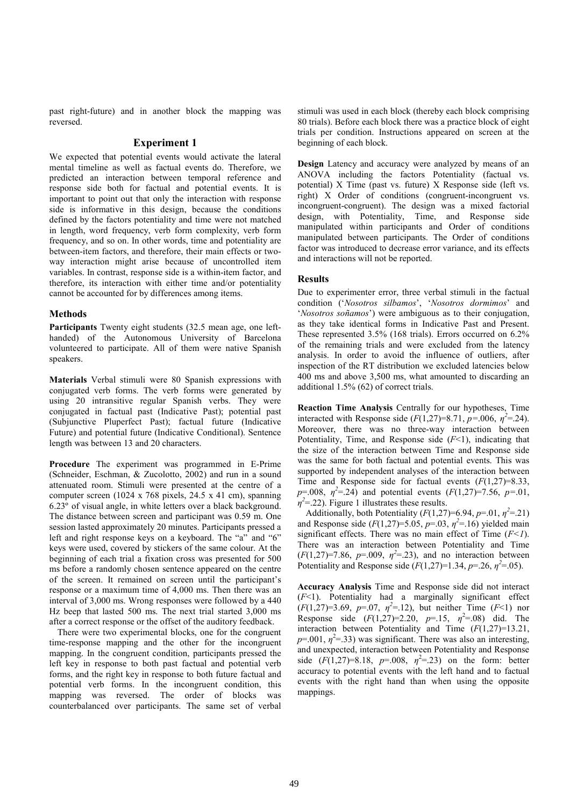past right-future) and in another block the mapping was reversed.

## Experiment 1

We expected that potential events would activate the lateral mental timeline as well as factual events do. Therefore, we predicted an interaction between temporal reference and response side both for factual and potential events. It is important to point out that only the interaction with response side is informative in this design, because the conditions defined by the factors potentiality and time were not matched in length, word frequency, verb form complexity, verb form frequency, and so on. In other words, time and potentiality are between-item factors, and therefore, their main effects or twoway interaction might arise because of uncontrolled item variables. In contrast, response side is a within-item factor, and therefore, its interaction with either time and/or potentiality cannot be accounted for by differences among items.

# Methods

Participants Twenty eight students (32.5 mean age, one lefthanded) of the Autonomous University of Barcelona volunteered to participate. All of them were native Spanish speakers.

Materials Verbal stimuli were 80 Spanish expressions with conjugated verb forms. The verb forms were generated by using 20 intransitive regular Spanish verbs. They were conjugated in factual past (Indicative Past); potential past (Subjunctive Pluperfect Past); factual future (Indicative Future) and potential future (Indicative Conditional). Sentence length was between 13 and 20 characters.

Procedure The experiment was programmed in E-Prime (Schneider, Eschman, & Zucolotto, 2002) and run in a sound attenuated room. Stimuli were presented at the centre of a computer screen (1024 x 768 pixels, 24.5 x 41 cm), spanning 6.23º of visual angle, in white letters over a black background. The distance between screen and participant was 0.59 m. One session lasted approximately 20 minutes. Participants pressed a left and right response keys on a keyboard. The "a" and "6" keys were used, covered by stickers of the same colour. At the beginning of each trial a fixation cross was presented for 500 ms before a randomly chosen sentence appeared on the centre of the screen. It remained on screen until the participant's response or a maximum time of 4,000 ms. Then there was an interval of 3,000 ms. Wrong responses were followed by a 440 Hz beep that lasted 500 ms. The next trial started 3,000 ms after a correct response or the offset of the auditory feedback.

There were two experimental blocks, one for the congruent time-response mapping and the other for the incongruent mapping. In the congruent condition, participants pressed the left key in response to both past factual and potential verb forms, and the right key in response to both future factual and potential verb forms. In the incongruent condition, this mapping was reversed. The order of blocks was counterbalanced over participants. The same set of verbal

stimuli was used in each block (thereby each block comprising 80 trials). Before each block there was a practice block of eight trials per condition. Instructions appeared on screen at the beginning of each block.

Design Latency and accuracy were analyzed by means of an ANOVA including the factors Potentiality (factual vs. potential) X Time (past vs. future) X Response side (left vs. right) X Order of conditions (congruent-incongruent vs. incongruent-congruent). The design was a mixed factorial design, with Potentiality, Time, and Response side manipulated within participants and Order of conditions manipulated between participants. The Order of conditions factor was introduced to decrease error variance, and its effects and interactions will not be reported.

# Results

Due to experimenter error, three verbal stimuli in the factual condition ('Nosotros silbamos', 'Nosotros dormimos' and 'Nosotros soñamos') were ambiguous as to their conjugation, as they take identical forms in Indicative Past and Present. These represented 3.5% (168 trials). Errors occurred on 6.2% of the remaining trials and were excluded from the latency analysis. In order to avoid the influence of outliers, after inspection of the RT distribution we excluded latencies below 400 ms and above 3,500 ms, what amounted to discarding an additional 1.5% (62) of correct trials.

Reaction Time Analysis Centrally for our hypotheses, Time interacted with Response side  $(F(1,27)=8.71, p=.006, \eta^2=.24)$ . Moreover, there was no three-way interaction between Potentiality, Time, and Response side  $(F<1)$ , indicating that the size of the interaction between Time and Response side was the same for both factual and potential events. This was supported by independent analyses of the interaction between Time and Response side for factual events  $(F(1,27)=8.33)$ ,  $p=0.008$ ,  $\eta^2=0.24$ ) and potential events  $(F(1,27)=7.56, p=0.01,$  $\eta^2$ =.22). Figure 1 illustrates these results.

Additionally, both Potentiality  $(F(1,27)=6.94, p=.01, \eta^2=.21)$ and Response side  $(F(1,27)=5.05, p=.03, \eta^2=.16)$  yielded main significant effects. There was no main effect of Time  $(F<1)$ . There was an interaction between Potentiality and Time  $(F(1,27)=7.86, p=.009, \eta^2=.23)$ , and no interaction between Potentiality and Response side  $(F(1,27)=1.34, p=.26, \eta^2=.05)$ .

Accuracy Analysis Time and Response side did not interact  $(F<1)$ . Potentiality had a marginally significant effect  $(F(1,27)=3.69, p=.07, \eta^2=.12)$ , but neither Time  $(F<1)$  nor Response side  $(F(1,27)=2.20, p=.15, \eta^2=.08)$  did. The interaction between Potentiality and Time  $(F(1,27)=13.21)$ ,  $p=0.001$ ,  $\eta^2=0.33$ ) was significant. There was also an interesting, and unexpected, interaction between Potentiality and Response side  $(F(1,27)=8.18, p=.008, \eta^2=.23)$  on the form: better accuracy to potential events with the left hand and to factual events with the right hand than when using the opposite mappings.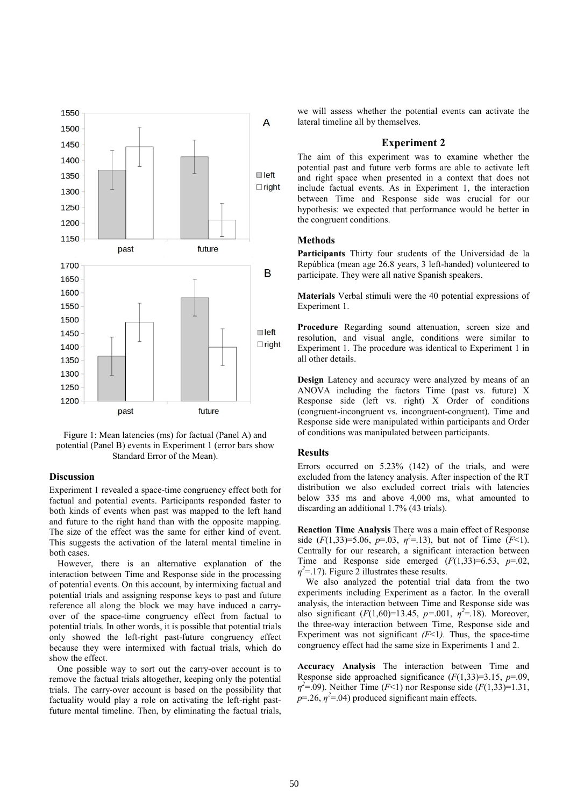

Figure 1: Mean latencies (ms) for factual (Panel A) and potential (Panel B) events in Experiment 1 (error bars show Standard Error of the Mean).

# **Discussion**

Experiment 1 revealed a space-time congruency effect both for factual and potential events. Participants responded faster to both kinds of events when past was mapped to the left hand and future to the right hand than with the opposite mapping. The size of the effect was the same for either kind of event. This suggests the activation of the lateral mental timeline in both cases.

However, there is an alternative explanation of the interaction between Time and Response side in the processing of potential events. On this account, by intermixing factual and potential trials and assigning response keys to past and future reference all along the block we may have induced a carryover of the space-time congruency effect from factual to potential trials. In other words, it is possible that potential trials only showed the left-right past-future congruency effect because they were intermixed with factual trials, which do show the effect.

One possible way to sort out the carry-over account is to remove the factual trials altogether, keeping only the potential trials. The carry-over account is based on the possibility that factuality would play a role on activating the left-right pastfuture mental timeline. Then, by eliminating the factual trials,

we will assess whether the potential events can activate the lateral timeline all by themselves.

## Experiment 2

The aim of this experiment was to examine whether the potential past and future verb forms are able to activate left and right space when presented in a context that does not include factual events. As in Experiment 1, the interaction between Time and Response side was crucial for our hypothesis: we expected that performance would be better in the congruent conditions.

#### **Methods**

Participants Thirty four students of the Universidad de la República (mean age 26.8 years, 3 left-handed) volunteered to participate. They were all native Spanish speakers.

Materials Verbal stimuli were the 40 potential expressions of Experiment 1.

Procedure Regarding sound attenuation, screen size and resolution, and visual angle, conditions were similar to Experiment 1. The procedure was identical to Experiment 1 in all other details.

Design Latency and accuracy were analyzed by means of an ANOVA including the factors Time (past vs. future) X Response side (left vs. right) X Order of conditions (congruent-incongruent vs. incongruent-congruent). Time and Response side were manipulated within participants and Order of conditions was manipulated between participants.

#### Results

Errors occurred on 5.23% (142) of the trials, and were excluded from the latency analysis. After inspection of the RT distribution we also excluded correct trials with latencies below 335 ms and above 4,000 ms, what amounted to discarding an additional 1.7% (43 trials).

Reaction Time Analysis There was a main effect of Response side  $(F(1,33)=5.06, p=0.03, \eta^2=1.13)$ , but not of Time  $(F<1)$ . Centrally for our research, a significant interaction between Time and Response side emerged  $(F(1,33)=6.53, p=.02,$  $\eta^2$ =.17). Figure 2 illustrates these results.

We also analyzed the potential trial data from the two experiments including Experiment as a factor. In the overall analysis, the interaction between Time and Response side was also significant  $(F(1,60)=13.45, p=.001, \eta^2=.18)$ . Moreover, the three-way interaction between Time, Response side and Experiment was not significant  $(F<1)$ . Thus, the space-time congruency effect had the same size in Experiments 1 and 2.

Accuracy Analysis The interaction between Time and Response side approached significance  $(F(1,33)=3.15, p=.09,$  $\eta^2 = 0.09$ ). Neither Time (F<1) nor Response side (F(1,33)=1.31,  $p=26$ ,  $\eta^2=04$ ) produced significant main effects.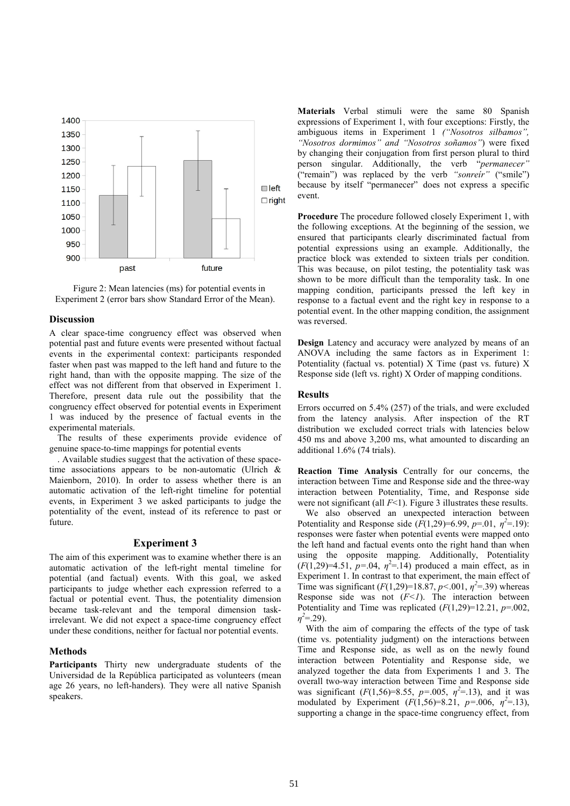

Figure 2: Mean latencies (ms) for potential events in Experiment 2 (error bars show Standard Error of the Mean).

## **Discussion**

A clear space-time congruency effect was observed when potential past and future events were presented without factual events in the experimental context: participants responded faster when past was mapped to the left hand and future to the right hand, than with the opposite mapping. The size of the effect was not different from that observed in Experiment 1. Therefore, present data rule out the possibility that the congruency effect observed for potential events in Experiment 1 was induced by the presence of factual events in the experimental materials.

The results of these experiments provide evidence of genuine space-to-time mappings for potential events

. Available studies suggest that the activation of these spacetime associations appears to be non-automatic (Ulrich  $\&$ Maienborn, 2010). In order to assess whether there is an automatic activation of the left-right timeline for potential events, in Experiment 3 we asked participants to judge the potentiality of the event, instead of its reference to past or future.

### Experiment 3

The aim of this experiment was to examine whether there is an automatic activation of the left-right mental timeline for potential (and factual) events. With this goal, we asked participants to judge whether each expression referred to a factual or potential event. Thus, the potentiality dimension became task-relevant and the temporal dimension taskirrelevant. We did not expect a space-time congruency effect under these conditions, neither for factual nor potential events.

# **Methods**

Participants Thirty new undergraduate students of the Universidad de la República participated as volunteers (mean age 26 years, no left-handers). They were all native Spanish speakers.

Materials Verbal stimuli were the same 80 Spanish expressions of Experiment 1, with four exceptions: Firstly, the ambiguous items in Experiment 1 ("Nosotros silbamos", "Nosotros dormimos" and "Nosotros soñamos") were fixed by changing their conjugation from first person plural to third person singular. Additionally, the verb "permanecer" ("remain") was replaced by the verb "sonreír" ("smile") because by itself "permanecer" does not express a specific event.

Procedure The procedure followed closely Experiment 1, with the following exceptions. At the beginning of the session, we ensured that participants clearly discriminated factual from potential expressions using an example. Additionally, the practice block was extended to sixteen trials per condition. This was because, on pilot testing, the potentiality task was shown to be more difficult than the temporality task. In one mapping condition, participants pressed the left key in response to a factual event and the right key in response to a potential event. In the other mapping condition, the assignment was reversed.

Design Latency and accuracy were analyzed by means of an ANOVA including the same factors as in Experiment 1: Potentiality (factual vs. potential) X Time (past vs. future) X Response side (left vs. right) X Order of mapping conditions.

### Results

Errors occurred on 5.4% (257) of the trials, and were excluded from the latency analysis. After inspection of the RT distribution we excluded correct trials with latencies below 450 ms and above 3,200 ms, what amounted to discarding an additional 1.6% (74 trials).

Reaction Time Analysis Centrally for our concerns, the interaction between Time and Response side and the three-way interaction between Potentiality, Time, and Response side were not significant (all  $F(1)$ ). Figure 3 illustrates these results.

We also observed an unexpected interaction between Potentiality and Response side  $(F(1,29)=6.99, p=.01, \eta^2=.19)$ : responses were faster when potential events were mapped onto the left hand and factual events onto the right hand than when using the opposite mapping. Additionally, Potentiality  $(F(1,29)=4.51, p=.04, \eta^2=.14)$  produced a main effect, as in Experiment 1. In contrast to that experiment, the main effect of Time was significant  $(F(1,29)=18.87, p<.001, \eta^2=0.39)$  whereas Response side was not  $(F<1)$ . The interaction between Potentiality and Time was replicated  $(F(1,29)=12.21, p=.002,$  $\eta^2 = 29$ ).

With the aim of comparing the effects of the type of task (time vs. potentiality judgment) on the interactions between Time and Response side, as well as on the newly found interaction between Potentiality and Response side, we analyzed together the data from Experiments 1 and 3. The overall two-way interaction between Time and Response side was significant  $(F(1, 56)=8.55, p=.005, \eta^2=.13)$ , and it was modulated by Experiment  $(F(1, 56)=8.21, p=.006, \eta^2=.13)$ , supporting a change in the space-time congruency effect, from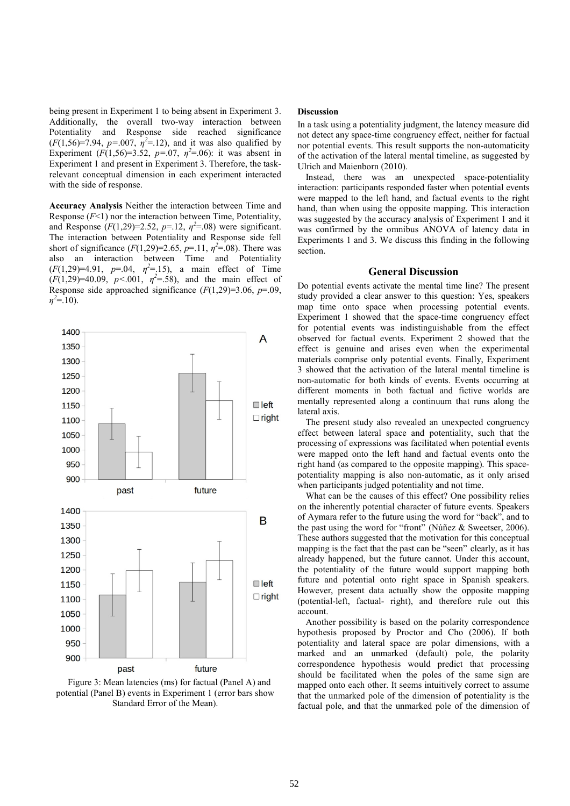being present in Experiment 1 to being absent in Experiment 3. Additionally, the overall two-way interaction between Potentiality and Response side reached significance  $(F(1, 56)=7.94, p=.007, \eta^2=.12)$ , and it was also qualified by Experiment  $(F(1, 56)=3.52, p=0.07, \eta^2=0.06)$ : it was absent in Experiment 1 and present in Experiment 3. Therefore, the taskrelevant conceptual dimension in each experiment interacted with the side of response.

Accuracy Analysis Neither the interaction between Time and Response  $(F<1)$  nor the interaction between Time, Potentiality, and Response  $(F(1,29)=2.52, p=.12, \eta^2=.08)$  were significant. The interaction between Potentiality and Response side fell short of significance  $(F(1,29)=2.65, p=.11, \eta^2=.08)$ . There was also an interaction between Time and Potentiality  $(F(1,29)=4.91, p=0.04, \eta^2=0.15)$ , a main effect of Time  $(F(1,29)=40.09, p<.001, \eta^2=0.58)$ , and the main effect of Response side approached significance  $(F(1,29)=3.06, p=.09$ ,  $\eta^2 = 10$ ).



Figure 3: Mean latencies (ms) for factual (Panel A) and potential (Panel B) events in Experiment 1 (error bars show Standard Error of the Mean).

#### Discussion

In a task using a potentiality judgment, the latency measure did not detect any space-time congruency effect, neither for factual nor potential events. This result supports the non-automaticity of the activation of the lateral mental timeline, as suggested by Ulrich and Maienborn (2010).

Instead, there was an unexpected space-potentiality interaction: participants responded faster when potential events were mapped to the left hand, and factual events to the right hand, than when using the opposite mapping. This interaction was suggested by the accuracy analysis of Experiment 1 and it was confirmed by the omnibus ANOVA of latency data in Experiments 1 and 3. We discuss this finding in the following section.

## General Discussion

Do potential events activate the mental time line? The present study provided a clear answer to this question: Yes, speakers map time onto space when processing potential events. Experiment 1 showed that the space-time congruency effect for potential events was indistinguishable from the effect observed for factual events. Experiment 2 showed that the effect is genuine and arises even when the experimental materials comprise only potential events. Finally, Experiment 3 showed that the activation of the lateral mental timeline is non-automatic for both kinds of events. Events occurring at different moments in both factual and fictive worlds are mentally represented along a continuum that runs along the lateral axis.

The present study also revealed an unexpected congruency effect between lateral space and potentiality, such that the processing of expressions was facilitated when potential events were mapped onto the left hand and factual events onto the right hand (as compared to the opposite mapping). This spacepotentiality mapping is also non-automatic, as it only arised when participants judged potentiality and not time.

What can be the causes of this effect? One possibility relies on the inherently potential character of future events. Speakers of Aymara refer to the future using the word for "back", and to the past using the word for "front" (Núñez & Sweetser, 2006). These authors suggested that the motivation for this conceptual mapping is the fact that the past can be "seen" clearly, as it has already happened, but the future cannot. Under this account, the potentiality of the future would support mapping both future and potential onto right space in Spanish speakers. However, present data actually show the opposite mapping (potential-left, factual- right), and therefore rule out this account.

Another possibility is based on the polarity correspondence hypothesis proposed by Proctor and Cho (2006). If both potentiality and lateral space are polar dimensions, with a marked and an unmarked (default) pole, the polarity correspondence hypothesis would predict that processing should be facilitated when the poles of the same sign are mapped onto each other. It seems intuitively correct to assume that the unmarked pole of the dimension of potentiality is the factual pole, and that the unmarked pole of the dimension of